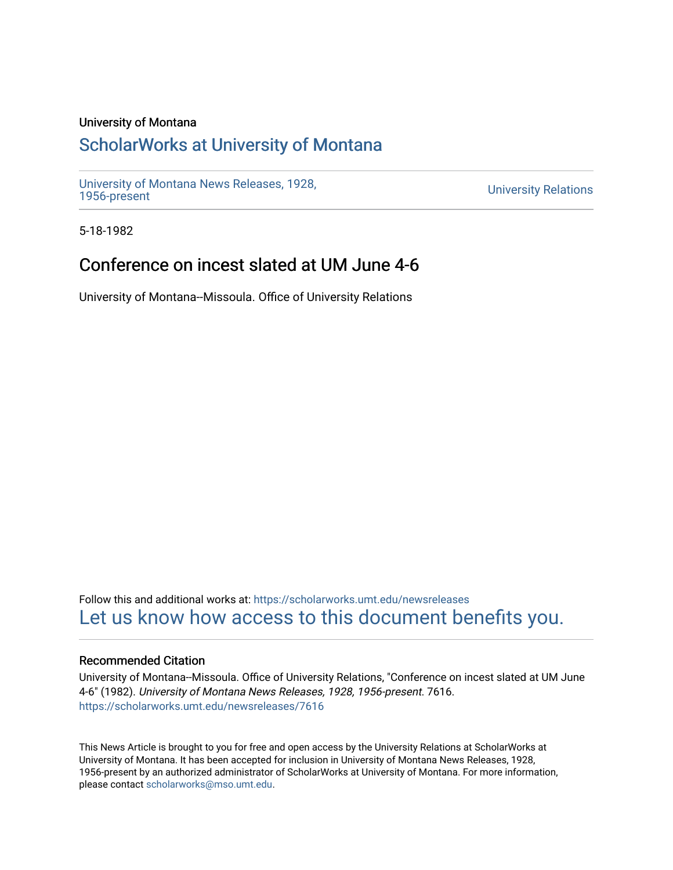### University of Montana

## [ScholarWorks at University of Montana](https://scholarworks.umt.edu/)

[University of Montana News Releases, 1928,](https://scholarworks.umt.edu/newsreleases) 

**University Relations** 

5-18-1982

# Conference on incest slated at UM June 4-6

University of Montana--Missoula. Office of University Relations

Follow this and additional works at: [https://scholarworks.umt.edu/newsreleases](https://scholarworks.umt.edu/newsreleases?utm_source=scholarworks.umt.edu%2Fnewsreleases%2F7616&utm_medium=PDF&utm_campaign=PDFCoverPages) [Let us know how access to this document benefits you.](https://goo.gl/forms/s2rGfXOLzz71qgsB2) 

#### Recommended Citation

University of Montana--Missoula. Office of University Relations, "Conference on incest slated at UM June 4-6" (1982). University of Montana News Releases, 1928, 1956-present. 7616. [https://scholarworks.umt.edu/newsreleases/7616](https://scholarworks.umt.edu/newsreleases/7616?utm_source=scholarworks.umt.edu%2Fnewsreleases%2F7616&utm_medium=PDF&utm_campaign=PDFCoverPages) 

This News Article is brought to you for free and open access by the University Relations at ScholarWorks at University of Montana. It has been accepted for inclusion in University of Montana News Releases, 1928, 1956-present by an authorized administrator of ScholarWorks at University of Montana. For more information, please contact [scholarworks@mso.umt.edu.](mailto:scholarworks@mso.umt.edu)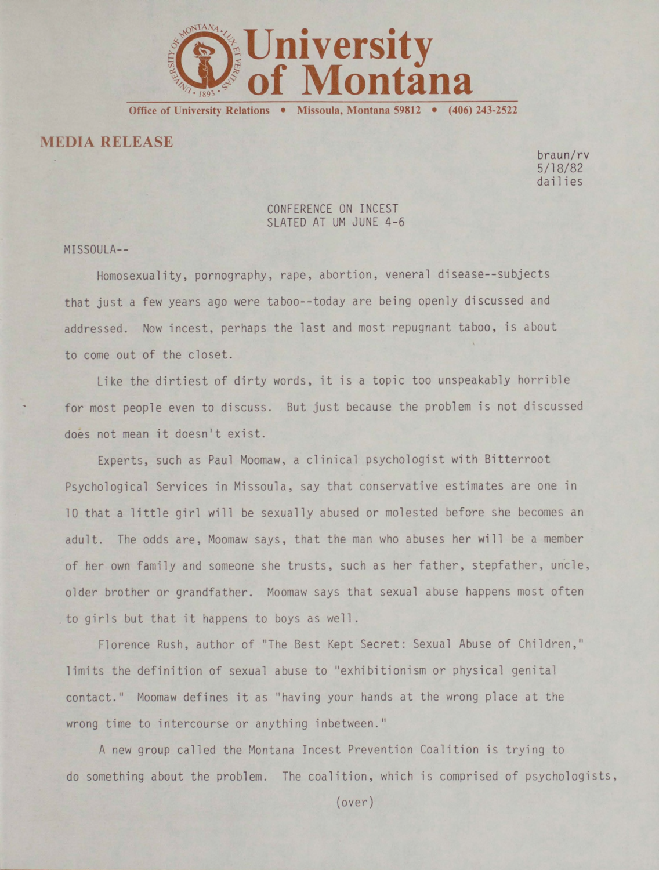

**Office of University Relations • Missoula, Montana 59812 • (406) 243-2522**

**MEDIA RELEASE**

braun/rv 5/18/82 dai1ies

### CONFERENCE ON INCEST SLATED AT UM JUNE 4-6

MISSOULA—

Homosexuality, pornography, rape, abortion, veneral disease--subjects that just a few years ago were taboo--today are being openly discussed and addressed. Now incest, perhaps the last and most repugnant taboo, is about to come out of the closet.

Like the dirtiest of dirty words, it is a topic too unspeakably horrible for most people even to discuss. But just because the problem is not discussed does not mean it doesn't exist.

Experts, such as Paul Moomaw, a clinical psychologist with Bitterroot Psychological Services in Missoula, say that conservative estimates are one in 10 that a little girl will be sexually abused or molested before she becomes an adult. The odds are, Moomaw says, that the man who abuses her will be a member of her own family and someone she trusts, such as her father, stepfather, uncle, older brother or grandfather. Moomaw says that sexual abuse happens most often to girls but that it happens to boys as well.

Florence Rush, author of "The Best Kept Secret: Sexual Abuse of Children," limits the definition of sexual abuse to "exhibitionism or physical genital contact." Moomaw defines it as "having your hands at the wrong place at the wrong time to intercourse or anything inbetween."

A new group called the Montana Incest Prevention Coalition is trying to do something about the problem. The coalition, which is comprised of psychologists,